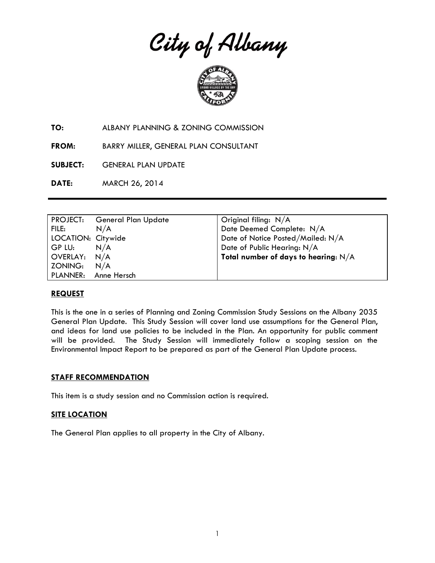City of Albany



**TO:** ALBANY PLANNING & ZONING COMMISSION

**FROM:** BARRY MILLER, GENERAL PLAN CONSULTANT

**SUBJECT:** GENERAL PLAN UPDATE

**DATE:** MARCH 26, 2014

|                    | PROJECT: General Plan Update | Original filing: $N/A$                 |
|--------------------|------------------------------|----------------------------------------|
| FILE:              | N/A                          | Date Deemed Complete: N/A              |
| LOCATION: Citywide |                              | Date of Notice Posted/Mailed: N/A      |
| GP LU:             | N/A                          | Date of Public Hearing: N/A            |
| OVERLAY: N/A       |                              | Total number of days to hearing: $N/A$ |
| ZONING:            | N/A                          |                                        |
|                    | PLANNER: Anne Hersch         |                                        |

### **REQUEST**

This is the one in a series of Planning and Zoning Commission Study Sessions on the Albany 2035 General Plan Update. This Study Session will cover land use assumptions for the General Plan, and ideas for land use policies to be included in the Plan. An opportunity for public comment will be provided. The Study Session will immediately follow a scoping session on the Environmental Impact Report to be prepared as part of the General Plan Update process.

#### **STAFF RECOMMENDATION**

This item is a study session and no Commission action is required.

### **SITE LOCATION**

The General Plan applies to all property in the City of Albany.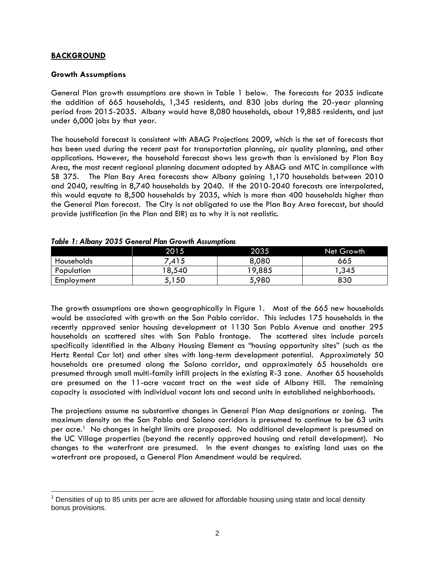## **BACKGROUND**

### **Growth Assumptions**

General Plan growth assumptions are shown in Table 1 below. The forecasts for 2035 indicate the addition of 665 households, 1,345 residents, and 830 jobs during the 20-year planning period from 2015-2035. Albany would have 8,080 households, about 19,885 residents, and just under 6,000 jobs by that year.

The household forecast is consistent with ABAG Projections 2009, which is the set of forecasts that has been used during the recent past for transportation planning, air quality planning, and other applications. However, the household forecast shows less growth than is envisioned by Plan Bay Area, the most recent regional planning document adopted by ABAG and MTC in compliance with SB 375. The Plan Bay Area forecasts show Albany gaining 1,170 households between 2010 and 2040, resulting in 8,740 households by 2040. If the 2010-2040 forecasts are interpolated, this would equate to 8,500 households by 2035, which is more than 400 households higher than the General Plan forecast. The City is not obligated to use the Plan Bay Area forecast, but should provide justification (in the Plan and EIR) as to why it is not realistic.

|            | 2015  | 2035   | Net Growth |
|------------|-------|--------|------------|
| Households | .415  | 8,080  | 665        |
| Population | 8,540 | 19,885 | ,345       |
| Employment | 5,150 | 5,980  | 830        |

|  |  |  |  |  | Table 1: Albany 2035 General Plan Growth Assumptions |
|--|--|--|--|--|------------------------------------------------------|
|--|--|--|--|--|------------------------------------------------------|

The growth assumptions are shown geographically in Figure 1. Most of the 665 new households would be associated with growth on the San Pablo corridor. This includes 175 households in the recently approved senior housing development at 1130 San Pablo Avenue and another 295 households on scattered sites with San Pablo frontage. The scattered sites include parcels specifically identified in the Albany Housing Element as "housing opportunity sites" (such as the Hertz Rental Car lot) and other sites with long-term development potential. Approximately 50 households are presumed along the Solano corridor, and approximately 65 households are presumed through small multi-family infill projects in the existing R-3 zone. Another 65 households are presumed on the 11-acre vacant tract on the west side of Albany Hill. The remaining capacity is associated with individual vacant lots and second units in established neighborhoods.

The projections assume no substantive changes in General Plan Map designations or zoning. The maximum density on the San Pablo and Solano corridors is presumed to continue to be 63 units per acre.1 No changes in height limits are proposed. No additional development is presumed on the UC Village properties (beyond the recently approved housing and retail development). No changes to the waterfront are presumed. In the event changes to existing land uses on the waterfront are proposed, a General Plan Amendment would be required.

 $\overline{a}$  $1$  Densities of up to 85 units per acre are allowed for affordable housing using state and local density bonus provisions.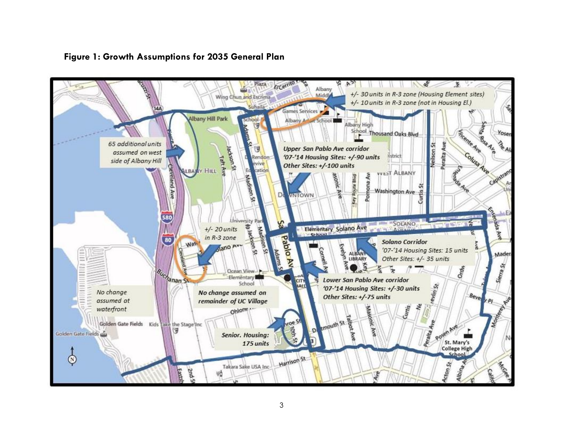

# **Figure 1: Growth Assumptions for 2035 General Plan**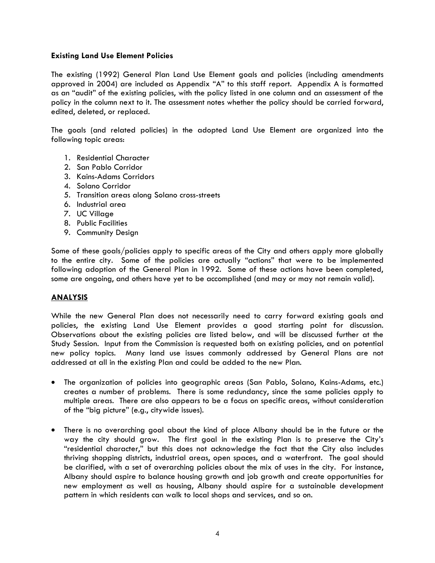### **Existing Land Use Element Policies**

The existing (1992) General Plan Land Use Element goals and policies (including amendments approved in 2004) are included as Appendix "A" to this staff report. Appendix A is formatted as an "audit" of the existing policies, with the policy listed in one column and an assessment of the policy in the column next to it. The assessment notes whether the policy should be carried forward, edited, deleted, or replaced.

The goals (and related policies) in the adopted Land Use Element are organized into the following topic areas:

- 1. Residential Character
- 2. San Pablo Corridor
- 3. Kains-Adams Corridors
- 4. Solano Corridor
- 5. Transition areas along Solano cross-streets
- 6. Industrial area
- 7. UC Village
- 8. Public Facilities
- 9. Community Design

Some of these goals/policies apply to specific areas of the City and others apply more globally to the entire city. Some of the policies are actually "actions" that were to be implemented following adoption of the General Plan in 1992. Some of these actions have been completed, some are ongoing, and others have yet to be accomplished (and may or may not remain valid).

### **ANALYSIS**

While the new General Plan does not necessarily need to carry forward existing goals and policies, the existing Land Use Element provides a good starting point for discussion. Observations about the existing policies are listed below, and will be discussed further at the Study Session. Input from the Commission is requested both on existing policies, and on potential new policy topics. Many land use issues commonly addressed by General Plans are not addressed at all in the existing Plan and could be added to the new Plan.

- The organization of policies into geographic areas (San Pablo, Solano, Kains-Adams, etc.) creates a number of problems. There is some redundancy, since the same policies apply to multiple areas. There are also appears to be a focus on specific areas, without consideration of the "big picture" (e.g., citywide issues).
- There is no overarching goal about the kind of place Albany should be in the future or the way the city should grow. The first goal in the existing Plan is to preserve the City's "residential character," but this does not acknowledge the fact that the City also includes thriving shopping districts, industrial areas, open spaces, and a waterfront. The goal should be clarified, with a set of overarching policies about the mix of uses in the city. For instance, Albany should aspire to balance housing growth and job growth and create opportunities for new employment as well as housing, Albany should aspire for a sustainable development pattern in which residents can walk to local shops and services, and so on.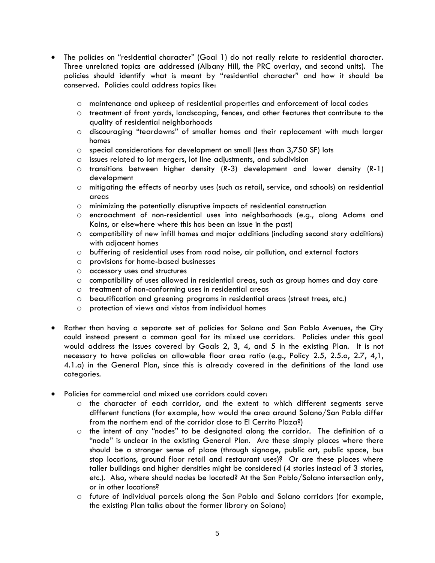- The policies on "residential character" (Goal 1) do not really relate to residential character. Three unrelated topics are addressed (Albany Hill, the PRC overlay, and second units). The policies should identify what is meant by "residential character" and how it should be conserved. Policies could address topics like:
	- o maintenance and upkeep of residential properties and enforcement of local codes
	- o treatment of front yards, landscaping, fences, and other features that contribute to the quality of residential neighborhoods
	- o discouraging "teardowns" of smaller homes and their replacement with much larger homes
	- $\circ$  special considerations for development on small (less than 3,750 SF) lots
	- o issues related to lot mergers, lot line adjustments, and subdivision
	- $\circ$  transitions between higher density (R-3) development and lower density (R-1) development
	- o mitigating the effects of nearby uses (such as retail, service, and schools) on residential areas
	- o minimizing the potentially disruptive impacts of residential construction
	- o encroachment of non-residential uses into neighborhoods (e.g., along Adams and Kains, or elsewhere where this has been an issue in the past)
	- o compatibility of new infill homes and major additions (including second story additions) with adjacent homes
	- o buffering of residential uses from road noise, air pollution, and external factors
	- o provisions for home-based businesses
	- o accessory uses and structures
	- o compatibility of uses allowed in residential areas, such as group homes and day care
	- o treatment of non-conforming uses in residential areas
	- o beautification and greening programs in residential areas (street trees, etc.)
	- o protection of views and vistas from individual homes
- Rather than having a separate set of policies for Solano and San Pablo Avenues, the City could instead present a common goal for its mixed use corridors. Policies under this goal would address the issues covered by Goals 2, 3, 4, and 5 in the existing Plan. It is not necessary to have policies on allowable floor area ratio (e.g., Policy 2.5, 2.5.a, 2.7, 4,1, 4.1.a) in the General Plan, since this is already covered in the definitions of the land use categories.
- Policies for commercial and mixed use corridors could cover:
	- o the character of each corridor, and the extent to which different segments serve different functions (for example, how would the area around Solano/San Pablo differ from the northern end of the corridor close to El Cerrito Plaza?)
	- o the intent of any "nodes" to be designated along the corridor. The definition of a "node" is unclear in the existing General Plan. Are these simply places where there should be a stronger sense of place (through signage, public art, public space, bus stop locations, ground floor retail and restaurant uses)? Or are these places where taller buildings and higher densities might be considered (4 stories instead of 3 stories, etc.). Also, where should nodes be located? At the San Pablo/Solano intersection only, or in other locations?
	- o future of individual parcels along the San Pablo and Solano corridors (for example, the existing Plan talks about the former library on Solano)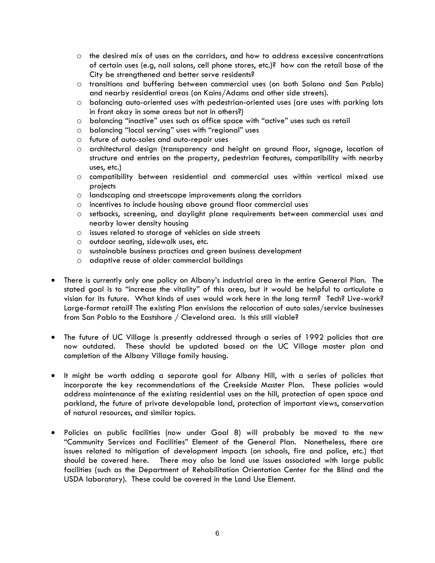- $\circ$  the desired mix of uses on the corridors, and how to address excessive concentrations of certain uses (e.g, nail salons, cell phone stores, etc.)? how can the retail base of the City be strengthened and better serve residents?
- o transitions and buffering between commercial uses (on both Solano and San Pablo) and nearby residential areas (on Kains/Adams and other side streets).
- o balancing auto-oriented uses with pedestrian-oriented uses (are uses with parking lots in front okay in some areas but not in others?)
- o balancing "inactive" uses such as office space with "active" uses such as retail
- o balancing "local serving" uses with "regional" uses
- o future of auto-sales and auto-repair uses
- o architectural design (transparency and height on ground floor, signage, location of structure and entries on the property, pedestrian features, compatibility with nearby uses, etc.)
- o compatibility between residential and commercial uses within vertical mixed use projects
- o landscaping and streetscape improvements along the corridors
- o incentives to include housing above ground floor commercial uses
- o setbacks, screening, and daylight plane requirements between commercial uses and nearby lower density housing
- o issues related to storage of vehicles on side streets
- o outdoor seating, sidewalk uses, etc.
- o sustainable business practices and green business development
- o adaptive reuse of older commercial buildings
- There is currently only one policy on Albany's industrial area in the entire General Plan. The stated goal is to "increase the vitality" of this area, but it would be helpful to articulate a vision for its future. What kinds of uses would work here in the long term? Tech? Live-work? Large-format retail? The existing Plan envisions the relocation of auto sales/service businesses from San Pablo to the Eastshore / Cleveland area. Is this still viable?
- The future of UC Village is presently addressed through a series of 1992 policies that are now outdated. These should be updated based on the UC Village master plan and completion of the Albany Village family housing.
- It might be worth adding a separate goal for Albany Hill, with a series of policies that incorporate the key recommendations of the Creekside Master Plan. These policies would address maintenance of the existing residential uses on the hill, protection of open space and parkland, the future of private developable land, protection of important views, conservation of natural resources, and similar topics.
- Policies on public facilities (now under Goal 8) will probably be moved to the new "Community Services and Facilities" Element of the General Plan. Nonetheless, there are issues related to mitigation of development impacts (on schools, fire and police, etc.) that should be covered here. There may also be land use issues associated with large public facilities (such as the Department of Rehabilitation Orientation Center for the Blind and the USDA laboratory). These could be covered in the Land Use Element.